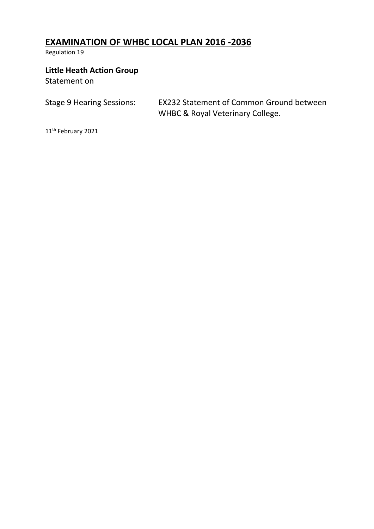# **EXAMINATION OF WHBC LOCAL PLAN 2016 -2036**

Regulation 19

## **Little Heath Action Group**

Statement on

Stage 9 Hearing Sessions: EX232 Statement of Common Ground between WHBC & Royal Veterinary College.

11th February 2021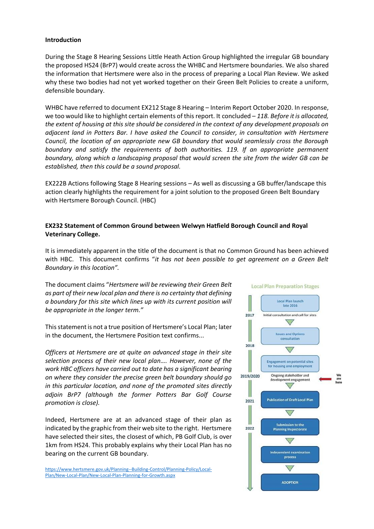#### **Introduction**

During the Stage 8 Hearing Sessions Little Heath Action Group highlighted the irregular GB boundary the proposed HS24 (BrP7) would create across the WHBC and Hertsmere boundaries. We also shared the information that Hertsmere were also in the process of preparing a Local Plan Review. We asked why these two bodies had not yet worked together on their Green Belt Policies to create a uniform, defensible boundary.

WHBC have referred to document EX212 Stage 8 Hearing – Interim Report October 2020. In response, we too would like to highlight certain elements of this report. It concluded – *118. Before it is allocated, the extent of housing at this site should be considered in the context of any development proposals on adjacent land in Potters Bar. I have asked the Council to consider, in consultation with Hertsmere Council, the location of an appropriate new GB boundary that would seamlessly cross the Borough boundary and satisfy the requirements of both authorities. 119. If an appropriate permanent boundary, along which a landscaping proposal that would screen the site from the wider GB can be established, then this could be a sound proposal.* 

EX222B Actions following Stage 8 Hearing sessions – As well as discussing a GB buffer/landscape this action clearly highlights the requirement for a joint solution to the proposed Green Belt Boundary with Hertsmere Borough Council. (HBC)

## **EX232 Statement of Common Ground between Welwyn Hatfield Borough Council and Royal Veterinary College.**

It is immediately apparent in the title of the document is that no Common Ground has been achieved with HBC. This document confirms "*it has not been possible to get agreement on a Green Belt Boundary in this location".*

The document claims "*Hertsmere will be reviewing their Green Belt as part of their new local plan and there is no certainty that defining a boundary for this site which lines up with its current position will be appropriate in the longer term."*

This statement is not a true position of Hertsmere's Local Plan; later in the document, the Hertsmere Position text confirms...

*Officers at Hertsmere are at quite an advanced stage in their site selection process of their new local plan…. However, none of the work HBC officers have carried out to date has a significant bearing on where they consider the precise green belt boundary should go in this particular location, and none of the promoted sites directly adjoin BrP7 (although the former Potters Bar Golf Course promotion is close).*

Indeed, Hertsmere are at an advanced stage of their plan as indicated by the graphic from their web site to the right. Hertsmere have selected their sites, the closest of which, PB Golf Club, is over 1km from HS24. This probably explains why their Local Plan has no bearing on the current GB boundary.

[https://www.hertsmere.gov.uk/Planning--Building-Control/Planning-Policy/Local-](https://www.hertsmere.gov.uk/Planning--Building-Control/Planning-Policy/Local-Plan/New-Local-Plan/New-Local-Plan-Planning-for-Growth.aspx)[Plan/New-Local-Plan/New-Local-Plan-Planning-for-Growth.aspx](https://www.hertsmere.gov.uk/Planning--Building-Control/Planning-Policy/Local-Plan/New-Local-Plan/New-Local-Plan-Planning-for-Growth.aspx)

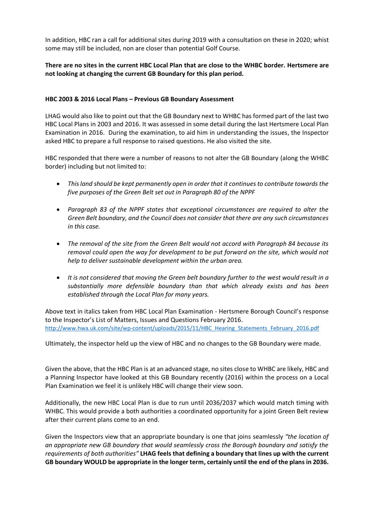In addition, HBC ran a call for additional sites during 2019 with a consultation on these in 2020; whist some may still be included, non are closer than potential Golf Course.

## **There are no sites in the current HBC Local Plan that are close to the WHBC border. Hertsmere are not looking at changing the current GB Boundary for this plan period.**

#### **HBC 2003 & 2016 Local Plans – Previous GB Boundary Assessment**

LHAG would also like to point out that the GB Boundary next to WHBC has formed part of the last two HBC Local Plans in 2003 and 2016. It was assessed in some detail during the last Hertsmere Local Plan Examination in 2016. During the examination, to aid him in understanding the issues, the Inspector asked HBC to prepare a full response to raised questions. He also visited the site.

HBC responded that there were a number of reasons to not alter the GB Boundary (along the WHBC border) including but not limited to:

- *This land should be kept permanently open in order that it continues to contribute towards the five purposes of the Green Belt set out in Paragraph 80 of the NPPF*
- *Paragraph 83 of the NPPF states that exceptional circumstances are required to alter the Green Belt boundary, and the Council does not consider that there are any such circumstances in this case.*
- *The removal of the site from the Green Belt would not accord with Paragraph 84 because its removal could open the way for development to be put forward on the site, which would not help to deliver sustainable development within the urban area.*
- *It is not considered that moving the Green belt boundary further to the west would result in a substantially more defensible boundary than that which already exists and has been established through the Local Plan for many years.*

Above text in italics taken from HBC Local Plan Examination - Hertsmere Borough Council's response to the Inspector's List of Matters, Issues and Questions February 2016. [http://www.hwa.uk.com/site/wp-content/uploads/2015/11/HBC\\_Hearing\\_Statements\\_February\\_2016.pdf](http://www.hwa.uk.com/site/wp-content/uploads/2015/11/HBC_Hearing_Statements_February_2016.pdf)

Ultimately, the inspector held up the view of HBC and no changes to the GB Boundary were made.

Given the above, that the HBC Plan is at an advanced stage, no sites close to WHBC are likely, HBC and a Planning Inspector have looked at this GB Boundary recently (2016) within the process on a Local Plan Examination we feel it is unlikely HBC will change their view soon.

Additionally, the new HBC Local Plan is due to run until 2036/2037 which would match timing with WHBC. This would provide a both authorities a coordinated opportunity for a joint Green Belt review after their current plans come to an end.

Given the Inspectors view that an appropriate boundary is one that joins seamlessly *"the location of an appropriate new GB boundary that would seamlessly cross the Borough boundary and satisfy the requirements of both authorities"* **LHAG feels that defining a boundary that lines up with the current GB boundary WOULD be appropriate in the longer term, certainly until the end of the plans in 2036.**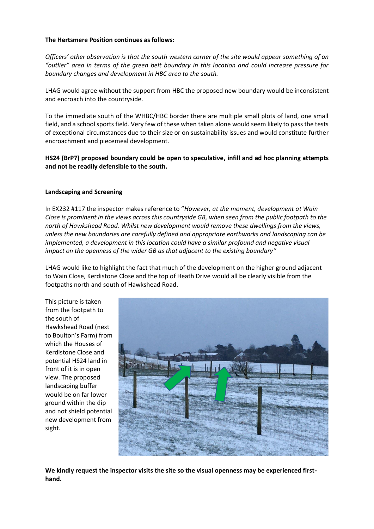#### **The Hertsmere Position continues as follows:**

*Officers' other observation is that the south western corner of the site would appear something of an "outlier" area in terms of the green belt boundary in this location and could increase pressure for boundary changes and development in HBC area to the south.*

LHAG would agree without the support from HBC the proposed new boundary would be inconsistent and encroach into the countryside.

To the immediate south of the WHBC/HBC border there are multiple small plots of land, one small field, and a school sports field. Very few of these when taken alone would seem likely to pass the tests of exceptional circumstances due to their size or on sustainability issues and would constitute further encroachment and piecemeal development.

## **HS24 (BrP7) proposed boundary could be open to speculative, infill and ad hoc planning attempts and not be readily defensible to the south.**

#### **Landscaping and Screening**

In EX232 #117 the inspector makes reference to "*However, at the moment, development at Wain Close is prominent in the views across this countryside GB, when seen from the public footpath to the north of Hawkshead Road. Whilst new development would remove these dwellings from the views, unless the new boundaries are carefully defined and appropriate earthworks and landscaping can be implemented, a development in this location could have a similar profound and negative visual impact on the openness of the wider GB as that adjacent to the existing boundary"*

LHAG would like to highlight the fact that much of the development on the higher ground adjacent to Wain Close, Kerdistone Close and the top of Heath Drive would all be clearly visible from the footpaths north and south of Hawkshead Road.

This picture is taken from the footpath to the south of Hawkshead Road (next to Boulton's Farm) from which the Houses of Kerdistone Close and potential HS24 land in front of it is in open view. The proposed landscaping buffer would be on far lower ground within the dip and not shield potential new development from sight.



**We kindly request the inspector visits the site so the visual openness may be experienced firsthand.**